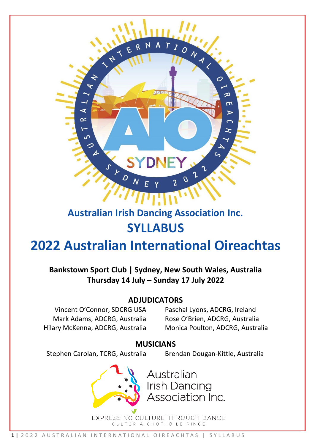

# **Australian Irish Dancing Association Inc. SYLLABUS**

# **2022 Australian International Oireachtas**

**Bankstown Sport Club | Sydney, New South Wales, Australia Thursday 14 July – Sunday 17 July 2022**

# **ADJUDICATORS**

Vincent O'Connor, SDCRG USA Mark Adams, ADCRG, Australia Hilary McKenna, ADCRG, Australia

Paschal Lyons, ADCRG, Ireland Rose O'Brien, ADCRG, Australia Monica Poulton, ADCRG, Australia

# **MUSICIANS**

Stephen Carolan, TCRG, Australia Brendan Dougan-Kittle, Australia



Australian **Irish Dancing** Association Inc.

EXPRESSING CULTURE THROUGH DANCE CULTÚR A CHOTHÚ LE RINCE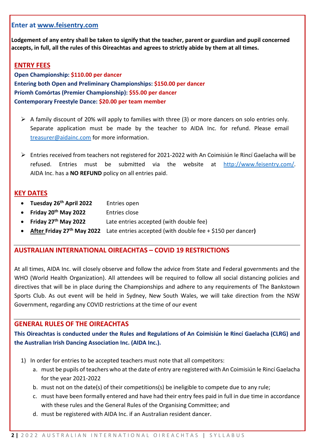#### **Enter at www.feisentry.com**

**Lodgement of any entry shall be taken to signify that the teacher, parent or guardian and pupil concerned accepts, in full, all the rules of this Oireachtas and agrees to strictly abide by them at all times.**

#### **ENTRY FEES**

**Open Championship: \$110.00 per dancer Entering both Open and Preliminary Championships: \$150.00 per dancer Príomh Comórtas (Premier Championship): \$55.00 per dancer Contemporary Freestyle Dance: \$20.00 per team member**

- $\triangleright$  A family discount of 20% will apply to families with three (3) or more dancers on solo entries only. Separate application must be made by the teacher to AIDA Inc. for refund. Please email [treasurer@aidainc.com](mailto:treasurer@aidainc.com) for more information.
- Entries received from teachers not registered for 2021-2022 with An Coimisiún le Rincí Gaelacha will be refused. Entries must be submitted via the website at [http://www.feisentry.com/.](http://www.feisentry.com/) AIDA Inc. has a **NO REFUND** policy on all entries paid.

#### **KEY DATES**

- **Tuesday 26th April 2022** Entries open
- **Friday 20th May 2022** Entries close
- **Friday 27th May 2022** Late entries accepted (with double fee)
- **After Friday 27th May 2022** Late entries accepted (with double fee + \$150 per dancer**)**

#### **AUSTRALIAN INTERNATIONAL OIREACHTAS – COVID 19 RESTRICTIONS**

At all times, AIDA Inc. will closely observe and follow the advice from State and Federal governments and the WHO (World Health Organization). All attendees will be required to follow all social distancing policies and directives that will be in place during the Championships and adhere to any requirements of The Bankstown Sports Club. As out event will be held in Sydney, New South Wales, we will take direction from the NSW Government, regarding any COVID restrictions at the time of our event

#### **GENERAL RULES OF THE OIREACHTAS**

**This Oireachtas is conducted under the Rules and Regulations of An Coimisiún le Rincí Gaelacha (CLRG) and the Australian Irish Dancing Association Inc. (AIDA Inc.).**

- 1) In order for entries to be accepted teachers must note that all competitors:
	- a. must be pupils of teachers who at the date of entry are registered with An Coimisiún le Rincí Gaelacha for the year 2021-2022
	- b. must not on the date(s) of their competitions(s) be ineligible to compete due to any rule;
	- c. must have been formally entered and have had their entry fees paid in full in due time in accordance with these rules and the General Rules of the Organising Committee; and
	- d. must be registered with AIDA Inc. if an Australian resident dancer.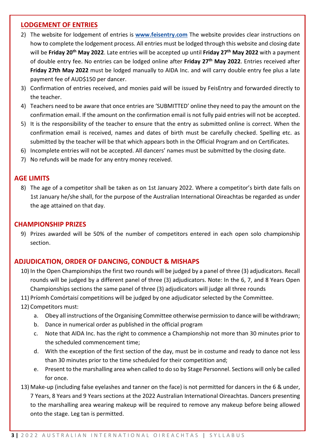#### **LODGEMENT OF ENTRIES**

- 2) The website for lodgement of entries is **www.feisentry.com** The website provides clear instructions on how to complete the lodgement process. All entries must be lodged through this website and closing date will be **Friday 20th May 2022**. Late entries will be accepted up until **Friday 27th May 2022** with a payment of double entry fee. No entries can be lodged online after **Friday 27th May 2022**. Entries received after **Friday 27th May 2022** must be lodged manually to AIDA Inc. and will carry double entry fee plus a late payment fee of AUD\$150 per dancer.
- 3) Confirmation of entries received, and monies paid will be issued by FeisEntry and forwarded directly to the teacher.
- 4) Teachers need to be aware that once entries are 'SUBMITTED' online they need to pay the amount on the confirmation email. If the amount on the confirmation email is not fully paid entries will not be accepted.
- 5) It is the responsibility of the teacher to ensure that the entry as submitted online is correct. When the confirmation email is received, names and dates of birth must be carefully checked. Spelling etc. as submitted by the teacher will be that which appears both in the Official Program and on Certificates.
- 6) Incomplete entries will not be accepted. All dancers' names must be submitted by the closing date.
- 7) No refunds will be made for any entry money received.

#### **AGE LIMITS**

8) The age of a competitor shall be taken as on 1st January 2022. Where a competitor's birth date falls on 1st January he/she shall, for the purpose of the Australian International Oireachtas be regarded as under the age attained on that day.

#### **CHAMPIONSHIP PRIZES**

9) Prizes awarded will be 50% of the number of competitors entered in each open solo championship section.

#### **ADJUDICATION, ORDER OF DANCING, CONDUCT & MISHAPS**

- 10) In the Open Championships the first two rounds will be judged by a panel of three (3) adjudicators. Recall rounds will be judged by a different panel of three (3) adjudicators. Note: In the 6, 7, and 8 Years Open Championships sections the same panel of three (3) adjudicators will judge all three rounds
- 11) Príomh Comórtaisí competitions will be judged by one adjudicator selected by the Committee.
- 12) Competitors must:
	- a. Obey all instructions of the Organising Committee otherwise permission to dance will be withdrawn;
	- b. Dance in numerical order as published in the official program
	- c. Note that AIDA Inc. has the right to commence a Championship not more than 30 minutes prior to the scheduled commencement time;
	- d. With the exception of the first section of the day, must be in costume and ready to dance not less than 30 minutes prior to the time scheduled for their competition and;
	- e. Present to the marshalling area when called to do so by Stage Personnel. Sections will only be called for once.
- 13) Make-up (including false eyelashes and tanner on the face) is not permitted for dancers in the 6 & under, 7 Years, 8 Years and 9 Years sections at the 2022 Australian International Oireachtas. Dancers presenting to the marshalling area wearing makeup will be required to remove any makeup before being allowed onto the stage. Leg tan is permitted.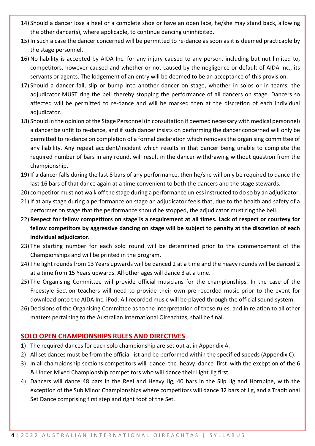- 14) Should a dancer lose a heel or a complete shoe or have an open lace, he/she may stand back, allowing the other dancer(s), where applicable, to continue dancing uninhibited.
- 15) In such a case the dancer concerned will be permitted to re-dance as soon as it is deemed practicable by the stage personnel.
- 16) No liability is accepted by AIDA Inc. for any injury caused to any person, including but not limited to, competitors, however caused and whether or not caused by the negligence or default of AIDA Inc., its servants or agents. The lodgement of an entry will be deemed to be an acceptance of this provision.
- 17) Should a dancer fall, slip or bump into another dancer on stage, whether in solos or in teams, the adjudicator MUST ring the bell thereby stopping the performance of all dancers on stage. Dancers so affected will be permitted to re-dance and will be marked then at the discretion of each individual adjudicator.
- 18) Should in the opinion of the Stage Personnel (in consultation if deemed necessary with medical personnel) a dancer be unfit to re-dance, and if such dancer insists on performing the dancer concerned will only be permitted to re-dance on completion of a formal declaration which removes the organising committee of any liability. Any repeat accident/incident which results in that dancer being unable to complete the required number of bars in any round, will result in the dancer withdrawing without question from the championship.
- 19) If a dancer falls during the last 8 bars of any performance, then he/she will only be required to dance the last 16 bars of that dance again at a time convenient to both the dancers and the stage stewards.
- 20) competitor must not walk off the stage during a performance unless instructed to do so by an adjudicator.
- 21) If at any stage during a performance on stage an adjudicator feels that, due to the health and safety of a performer on stage that the performance should be stopped, the adjudicator must ring the bell.
- 22) **Respect for fellow competitors on stage is a requirement at all times. Lack of respect or courtesy for fellow competitors by aggressive dancing on stage will be subject to penalty at the discretion of each individual adjudicator.**
- 23) The starting number for each solo round will be determined prior to the commencement of the Championships and will be printed in the program.
- 24) The light rounds from 13 Years upwards will be danced 2 at a time and the heavy rounds will be danced 2 at a time from 15 Years upwards. All other ages will dance 3 at a time.
- 25) The Organising Committee will provide official musicians for the championships. In the case of the Freestyle Section teachers will need to provide their own pre-recorded music prior to the event for download onto the AIDA Inc. iPod. All recorded music will be played through the official sound system.
- 26) Decisions of the Organising Committee as to the interpretation of these rules, and in relation to all other matters pertaining to the Australian International Oireachtas, shall be final.

# **SOLO OPEN CHAMPIONSHIPS RULES AND DIRECTIVES**

- 1) The required dances for each solo championship are set out at in Appendix A.
- 2) All set dances must be from the official list and be performed within the specified speeds (Appendix C).
- 3) In all championship sections competitors will dance the heavy dance first with the exception of the 6 & Under Mixed Championship competitors who will dance their Light Jig first.
- 4) Dancers will dance 48 bars in the Reel and Heavy Jig, 40 bars in the Slip Jig and Hornpipe, with the exception of the Sub Minor Championships where competitors will dance 32 bars of Jig, and a Traditional Set Dance comprising first step and right foot of the Set.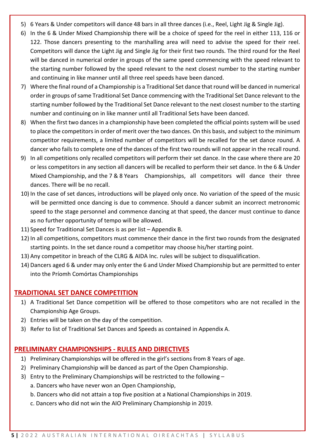- 5) 6 Years & Under competitors will dance 48 bars in all three dances (i.e., Reel, Light Jig & Single Jig).
- 6) In the 6 & Under Mixed Championship there will be a choice of speed for the reel in either 113, 116 or 122. Those dancers presenting to the marshalling area will need to advise the speed for their reel. Competitors will dance the Light Jig and Single Jig for their first two rounds. The third round for the Reel will be danced in numerical order in groups of the same speed commencing with the speed relevant to the starting number followed by the speed relevant to the next closest number to the starting number and continuing in like manner until all three reel speeds have been danced.
- 7) Where the final round of a Championship is a Traditional Set dance that round will be danced in numerical order in groups of same Traditional Set Dance commencing with the Traditional Set Dance relevant to the starting number followed by the Traditional Set Dance relevant to the next closest number to the starting number and continuing on in like manner until all Traditional Sets have been danced.
- 8) When the first two dances in a championship have been completed the official points system will be used to place the competitors in order of merit over the two dances. On this basis, and subject to the minimum competitor requirements, a limited number of competitors will be recalled for the set dance round. A dancer who fails to complete one of the dances of the first two rounds will not appear in the recall round.
- 9) In all competitions only recalled competitors will perform their set dance. In the case where there are 20 or less competitors in any section all dancers will be recalled to perform their set dance. In the 6 & Under Mixed Championship, and the 7 & 8 Years Championships, all competitors will dance their three dances. There will be no recall.
- 10) In the case of set dances, introductions will be played only once. No variation of the speed of the music will be permitted once dancing is due to commence. Should a dancer submit an incorrect metronomic speed to the stage personnel and commence dancing at that speed, the dancer must continue to dance as no further opportunity of tempo will be allowed.
- 11) Speed for Traditional Set Dances is as per list Appendix B.
- 12) In all competitions, competitors must commence their dance in the first two rounds from the designated starting points. In the set dance round a competitor may choose his/her starting point.
- 13) Any competitor in breach of the CLRG & AIDA Inc. rules will be subject to disqualification.
- 14) Dancers aged 6 & under may only enter the 6 and Under Mixed Championship but are permitted to enter into the Príomh Comórtas Championships

#### **TRADITIONAL SET DANCE COMPETITION**

- 1) A Traditional Set Dance competition will be offered to those competitors who are not recalled in the Championship Age Groups.
- 2) Entries will be taken on the day of the competition.
- 3) Refer to list of Traditional Set Dances and Speeds as contained in Appendix A.

#### **PRELIMINARY CHAMPIONSHIPS - RULES AND DIRECTIVES**

- 1) Preliminary Championships will be offered in the girl's sections from 8 Years of age.
- 2) Preliminary Championship will be danced as part of the Open Championship.
- 3) Entry to the Preliminary Championships will be restricted to the following
	- a. Dancers who have never won an Open Championship,
	- b. Dancers who did not attain a top five position at a National Championships in 2019.
	- c. Dancers who did not win the AIO Preliminary Championship in 2019.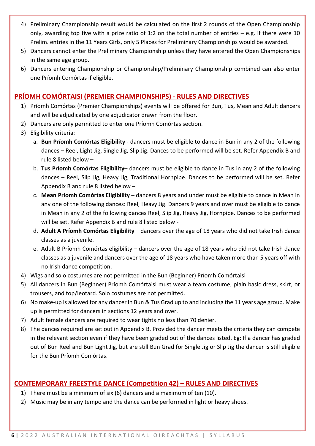- 4) Preliminary Championship result would be calculated on the first 2 rounds of the Open Championship only, awarding top five with a prize ratio of 1:2 on the total number of entries – e.g. if there were 10 Prelim. entries in the 11 Years Girls, only 5 Places for Preliminary Championships would be awarded.
- 5) Dancers cannot enter the Preliminary Championship unless they have entered the Open Championships in the same age group.
- 6) Dancers entering Championship or Championship/Preliminary Championship combined can also enter one Príomh Comórtas if eligible.

## **PRÍOMH COMÓRTAISI (PREMIER CHAMPIONSHIPS) - RULES AND DIRECTIVES**

- 1) Príomh Comórtas (Premier Championships) events will be offered for Bun, Tus, Mean and Adult dancers and will be adjudicated by one adjudicator drawn from the floor.
- 2) Dancers are only permitted to enter one Príomh Comórtas section.
- 3) Eligibility criteria:
	- a. **Bun Príomh Comórtas Eligibility** dancers must be eligible to dance in Bun in any 2 of the following dances – Reel, Light Jig, Single Jig, Slip Jig. Dances to be performed will be set. Refer Appendix B and rule 8 listed below –
	- b. **Tus Príomh Comórtas Eligibility** dancers must be eligible to dance in Tus in any 2 of the following dances – Reel, Slip Jig, Heavy Jig, Traditional Hornpipe. Dances to be performed will be set. Refer Appendix B and rule 8 listed below –
	- c. **Mean Príomh Comórtas Eligibility** dancers 8 years and under must be eligible to dance in Mean in any one of the following dances: Reel, Heavy Jig. Dancers 9 years and over must be eligible to dance in Mean in any 2 of the following dances Reel, Slip Jig, Heavy Jig, Hornpipe. Dances to be performed will be set. Refer Appendix B and rule 8 listed below -
	- d. **Adult A Príomh Comórtas Eligibility** dancers over the age of 18 years who did not take Irish dance classes as a juvenile.
	- e. Adult B Príomh Comórtas eligibility dancers over the age of 18 years who did not take Irish dance classes as a juvenile and dancers over the age of 18 years who have taken more than 5 years off with no Irish dance competition.
- 4) Wigs and solo costumes are not permitted in the Bun (Beginner) Príomh Comórtaisi
- 5) All dancers in Bun (Beginner) Príomh Comórtaisi must wear a team costume, plain basic dress, skirt, or trousers, and top/leotard. Solo costumes are not permitted.
- 6) No make-up is allowed for any dancer in Bun & Tus Grad up to and including the 11 years age group. Make up is permitted for dancers in sections 12 years and over.
- 7) Adult female dancers are required to wear tights no less than 70 denier.
- 8) The dances required are set out in Appendix B. Provided the dancer meets the criteria they can compete in the relevant section even if they have been graded out of the dances listed. Eg: If a dancer has graded out of Bun Reel and Bun Light Jig, but are still Bun Grad for Single Jig or Slip Jig the dancer is still eligible for the Bun Príomh Comórtas.

# **CONTEMPORARY FREESTYLE DANCE (Competition 42) – RULES AND DIRECTIVES**

- 1) There must be a minimum of six (6) dancers and a maximum of ten (10).
- 2) Music may be in any tempo and the dance can be performed in light or heavy shoes.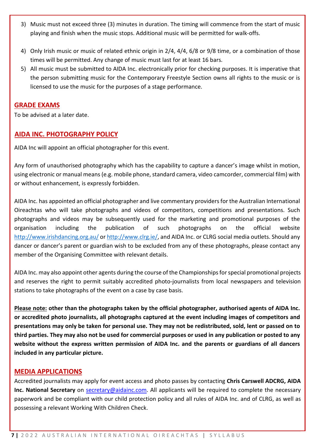- 3) Music must not exceed three (3) minutes in duration. The timing will commence from the start of music playing and finish when the music stops. Additional music will be permitted for walk-offs.
- 4) Only Irish music or music of related ethnic origin in 2/4, 4/4, 6/8 or 9/8 time, or a combination of those times will be permitted. Any change of music must last for at least 16 bars.
- 5) All music must be submitted to AIDA Inc. electronically prior for checking purposes. It is imperative that the person submitting music for the Contemporary Freestyle Section owns all rights to the music or is licensed to use the music for the purposes of a stage performance.

#### **GRADE EXAMS**

To be advised at a later date.

### **AIDA INC. PHOTOGRAPHY POLICY**

AIDA Inc will appoint an official photographer for this event.

Any form of unauthorised photography which has the capability to capture a dancer's image whilst in motion, using electronic or manual means (e.g. mobile phone, standard camera, video camcorder, commercial film) with or without enhancement, is expressly forbidden.

AIDA Inc. has appointed an official photographer and live commentary providers for the Australian International Oireachtas who will take photographs and videos of competitors, competitions and presentations. Such photographs and videos may be subsequently used for the marketing and promotional purposes of the organisation including the publication of such photographs on the official website <http://www.irishdancing.org.au/> or [http://www.clrg.ie/,](http://www.clrg.ie/) and AIDA Inc. or CLRG social media outlets. Should any dancer or dancer's parent or guardian wish to be excluded from any of these photographs, please contact any member of the Organising Committee with relevant details.

AIDA Inc. may also appoint other agents during the course of the Championships for special promotional projects and reserves the right to permit suitably accredited photo-journalists from local newspapers and television stations to take photographs of the event on a case by case basis.

**Please note: other than the photographs taken by the official photographer, authorised agents of AIDA Inc. or accredited photo journalists, all photographs captured at the event including images of competitors and presentations may only be taken for personal use. They may not be redistributed, sold, lent or passed on to third parties. They may also not be used for commercial purposes or used in any publication or posted to any website without the express written permission of AIDA Inc. and the parents or guardians of all dancers included in any particular picture.**

#### **MEDIA APPLICATIONS**

Accredited journalists may apply for event access and photo passes by contacting **Chris Carswell ADCRG, AIDA Inc. National Secretary** on **secretary@aidainc.com**. All applicants will be required to complete the necessary paperwork and be compliant with our child protection policy and all rules of AIDA Inc. and of CLRG, as well as possessing a relevant Working With Children Check.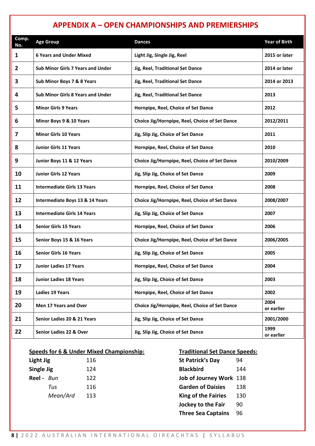# **APPENDIX A – OPEN CHAMPIONSHIPS AND PREMIERSHIPS**

| Comp.<br>No.   | <b>Age Group</b>                           | <b>Dances</b>                                  | <b>Year of Birth</b> |
|----------------|--------------------------------------------|------------------------------------------------|----------------------|
| $\mathbf{1}$   | <b>6 Years and Under Mixed</b>             | Light Jig, Single Jig, Reel                    | 2015 or later        |
| $\overline{2}$ | <b>Sub Minor Girls 7 Years and Under</b>   | Jig, Reel, Traditional Set Dance               | 2014 or later        |
| 3              | Sub Minor Boys 7 & 8 Years                 | Jig, Reel, Traditional Set Dance               | 2014 or 2013         |
| 4              | <b>Sub Minor Girls 8 Years and Under</b>   | Jig, Reel, Traditional Set Dance               | 2013                 |
| 5              | <b>Minor Girls 9 Years</b>                 | Hornpipe, Reel, Choice of Set Dance            | 2012                 |
| 6              | Minor Boys 9 & 10 Years                    | Choice Jig/Hornpipe, Reel, Choice of Set Dance | 2012/2011            |
| 7              | <b>Minor Girls 10 Years</b>                | Jig, Slip Jig, Choice of Set Dance             | 2011                 |
| 8              | <b>Junior Girls 11 Years</b>               | Hornpipe, Reel, Choice of Set Dance            | 2010                 |
| 9              | Junior Boys 11 & 12 Years                  | Choice Jig/Hornpipe, Reel, Choice of Set Dance | 2010/2009            |
| 10             | <b>Junior Girls 12 Years</b>               | Jig, Slip Jig, Choice of Set Dance             | 2009                 |
| 11             | <b>Intermediate Girls 13 Years</b>         | Hornpipe, Reel, Choice of Set Dance            | 2008                 |
| 12             | <b>Intermediate Boys 13 &amp; 14 Years</b> | Choice Jig/Hornpipe, Reel, Choice of Set Dance | 2008/2007            |
| 13             | <b>Intermediate Girls 14 Years</b>         | Jig, Slip Jig, Choice of Set Dance             | 2007                 |
| 14             | <b>Senior Girls 15 Years</b>               | Hornpipe, Reel, Choice of Set Dance            | 2006                 |
| 15             | Senior Boys 15 & 16 Years                  | Choice Jig/Hornpipe, Reel, Choice of Set Dance | 2006/2005            |
| 16             | <b>Senior Girls 16 Years</b>               | Jig, Slip Jig, Choice of Set Dance             | 2005                 |
| 17             | <b>Junior Ladies 17 Years</b>              | Hornpipe, Reel, Choice of Set Dance            | 2004                 |
| 18             | <b>Junior Ladies 18 Years</b>              | Jig, Slip Jig, Choice of Set Dance             | 2003                 |
| 19             | <b>Ladies 19 Years</b>                     | Hornpipe, Reel, Choice of Set Dance            | 2002                 |
| 20             | Men 17 Years and Over                      | Choice Jig/Hornpipe, Reel, Choice of Set Dance | 2004<br>or earlier   |
| 21             | Senior Ladies 20 & 21 Years                | Jig, Slip Jig, Choice of Set Dance             | 2001/2000            |
| 22             | Senior Ladies 22 & Over                    | Jig, Slip Jig, Choice of Set Dance             | 1999<br>or earlier   |

#### **Speeds for 6 & Under Mixed Championship: Traditional Set Dance Speeds:**

| Light Jig         |          | 116 |
|-------------------|----------|-----|
| Single Jig        |          | 124 |
| <b>Reel</b> - Bun |          | 122 |
|                   | Tus      | 116 |
|                   | Mean/Ard | 113 |
|                   |          |     |

| <b>St Patrick's Day</b>    | 94  |
|----------------------------|-----|
| <b>Blackbird</b>           | 144 |
| Job of Journey Work 138    |     |
| <b>Garden of Daisies</b>   | 138 |
| <b>King of the Fairies</b> | 130 |
| <b>Jockey to the Fair</b>  | 90  |
| <b>Three Sea Captains</b>  | 96  |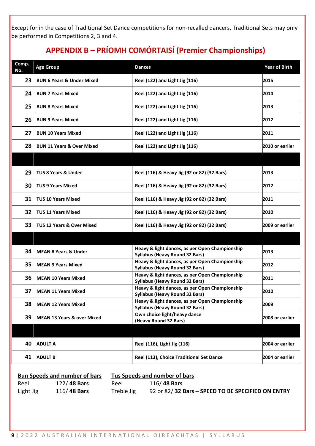Except for in the case of Traditional Set Dance competitions for non-recalled dancers, Traditional Sets may only be performed in Competitions 2, 3 and 4.

# **APPENDIX B – PRÍOMH COMÓRTAISÍ (Premier Championships)**

| Comp.<br>No. | <b>Age Group</b>                                                             | <b>Dances</b>                                                                           | <b>Year of Birth</b> |  |
|--------------|------------------------------------------------------------------------------|-----------------------------------------------------------------------------------------|----------------------|--|
| 23           | <b>BUN 6 Years &amp; Under Mixed</b>                                         | Reel (122) and Light Jig (116)                                                          | 2015                 |  |
| 24           | <b>BUN 7 Years Mixed</b>                                                     | Reel (122) and Light Jig (116)                                                          | 2014                 |  |
| 25           | <b>BUN 8 Years Mixed</b>                                                     | Reel (122) and Light Jig (116)                                                          | 2013                 |  |
| 26           | <b>BUN 9 Years Mixed</b>                                                     | Reel (122) and Light Jig (116)                                                          | 2012                 |  |
| 27           | <b>BUN 10 Years Mixed</b>                                                    | Reel (122) and Light Jig (116)                                                          | 2011                 |  |
| 28           | <b>BUN 11 Years &amp; Over Mixed</b>                                         | Reel (122) and Light Jig (116)                                                          | 2010 or earlier      |  |
|              |                                                                              |                                                                                         |                      |  |
| 29           | <b>TUS 8 Years &amp; Under</b>                                               | Reel (116) & Heavy Jig (92 or 82) (32 Bars)                                             | 2013                 |  |
| 30           | <b>TUS 9 Years Mixed</b>                                                     | Reel (116) & Heavy Jig (92 or 82) (32 Bars)                                             | 2012                 |  |
| 31           | <b>TUS 10 Years Mixed</b>                                                    | Reel (116) & Heavy Jig (92 or 82) (32 Bars)                                             | 2011                 |  |
| 32           | <b>TUS 11 Years Mixed</b>                                                    | Reel (116) & Heavy Jig (92 or 82) (32 Bars)                                             | 2010                 |  |
| 33           | <b>TUS 12 Years &amp; Over Mixed</b>                                         | Reel (116) & Heavy Jig (92 or 82) (32 Bars)                                             | 2009 or earlier      |  |
|              |                                                                              |                                                                                         |                      |  |
| 34           | <b>MEAN 8 Years &amp; Under</b>                                              | Heavy & light dances, as per Open Championship<br><b>Syllabus (Heavy Round 32 Bars)</b> | 2013                 |  |
| 35           | <b>MEAN 9 Years Mixed</b>                                                    | Heavy & light dances, as per Open Championship<br><b>Syllabus (Heavy Round 32 Bars)</b> | 2012                 |  |
| 36           | <b>MEAN 10 Years Mixed</b>                                                   | Heavy & light dances, as per Open Championship<br><b>Syllabus (Heavy Round 32 Bars)</b> | 2011                 |  |
| 37           | <b>MEAN 11 Years Mixed</b>                                                   | Heavy & light dances, as per Open Championship<br><b>Syllabus (Heavy Round 32 Bars)</b> | 2010                 |  |
| 38           | <b>MEAN 12 Years Mixed</b>                                                   | Heavy & light dances, as per Open Championship<br><b>Syllabus (Heavy Round 32 Bars)</b> | 2009                 |  |
| 39           | <b>MEAN 13 Years &amp; over Mixed</b>                                        | Own choice light/heavy dance<br>(Heavy Round 32 Bars)                                   | 2008 or earlier      |  |
|              |                                                                              |                                                                                         |                      |  |
| 40           | <b>ADULT A</b>                                                               | Reel (116), Light Jig (116)                                                             | 2004 or earlier      |  |
| 41           | <b>ADULT B</b>                                                               | Reel (113), Choice Traditional Set Dance                                                | 2004 or earlier      |  |
|              | <b>Bun Speeds and number of bars</b><br><b>Tus Speeds and number of bars</b> |                                                                                         |                      |  |

| number of bars | Tus Speeds and number of bars |  |
|----------------|-------------------------------|--|
|                |                               |  |

Reel 122/ **48 Bars** Light Jig 116/ **48 Bars**

Reel 116/ **48 Bars** Treble Jig 92 or 82/ **32 Bars – SPEED TO BE SPECIFIED ON ENTRY**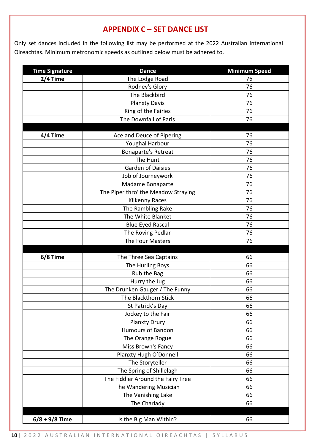# **APPENDIX C – SET DANCE LIST**

Only set dances included in the following list may be performed at the 2022 Australian International Oireachtas. Minimum metronomic speeds as outlined below must be adhered to.

 $\overline{a}$ 

| <b>Time Signature</b> | <b>Dance</b>                        | <b>Minimum Speed</b> |
|-----------------------|-------------------------------------|----------------------|
| 2/4 Time              | The Lodge Road                      | 76                   |
|                       | Rodney's Glory                      | 76                   |
|                       | The Blackbird                       | 76                   |
|                       | <b>Planxty Davis</b>                | 76                   |
|                       | King of the Fairies                 | 76                   |
|                       | The Downfall of Paris               | 76                   |
|                       |                                     |                      |
| 4/4 Time              | Ace and Deuce of Pipering           | 76                   |
|                       | Youghal Harbour                     | 76                   |
|                       | <b>Bonaparte's Retreat</b>          | 76                   |
|                       | The Hunt                            | 76                   |
|                       | <b>Garden of Daisies</b>            | 76                   |
|                       | Job of Journeywork                  | 76                   |
|                       | Madame Bonaparte                    | 76                   |
|                       | The Piper thro' the Meadow Straying | 76                   |
|                       | Kilkenny Races                      | 76                   |
|                       | The Rambling Rake                   | 76                   |
|                       | The White Blanket                   | 76                   |
|                       | <b>Blue Eyed Rascal</b>             | 76                   |
|                       | The Roving Pedlar                   | 76                   |
|                       | The Four Masters                    | 76                   |
| 6/8 Time              | The Three Sea Captains              | 66                   |
|                       | The Hurling Boys                    | 66                   |
|                       | Rub the Bag                         | 66                   |
|                       | Hurry the Jug                       | 66                   |
|                       | The Drunken Gauger / The Funny      | 66                   |
|                       | The Blackthorn Stick                | 66                   |
|                       | St Patrick's Day                    | 66                   |
|                       | Jockey to the Fair                  | 66                   |
|                       | <b>Planxty Drury</b>                | 66                   |
|                       | <b>Humours of Bandon</b>            | 66                   |
|                       | The Orange Rogue                    | 66                   |
|                       | Miss Brown's Fancy                  | 66                   |
|                       | Planxty Hugh O'Donnell              | 66                   |
|                       | The Storyteller                     | 66                   |
|                       | The Spring of Shillelagh            | 66                   |
|                       | The Fiddler Around the Fairy Tree   | 66                   |
|                       | The Wandering Musician              | 66                   |
|                       | The Vanishing Lake                  | 66                   |
|                       | The Charlady                        | 66                   |
| $6/8 + 9/8$ Time      | Is the Big Man Within?              | 66                   |